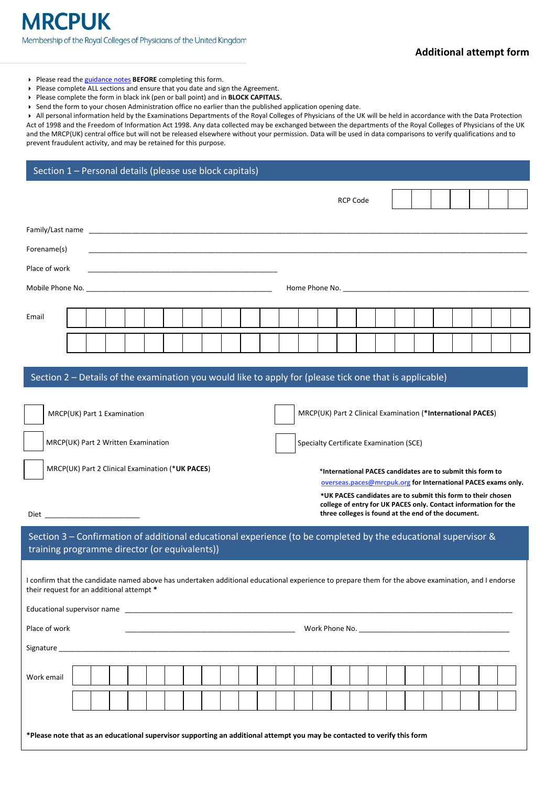## **Additional attempt form**

- Please read the [guidance notes](http://www.mrcpuk.org/mrcpuk-examinations/regulations/limit-attempts) **BEFORE** completing this form.
- Please complete ALL sections and ensure that you date and sign the Agreement.
- Please complete the form in black ink (pen or ball point) and in **BLOCK CAPITALS.**
- Send the form to your chosen Administration office no earlier than the published application opening date.

 All personal information held by the Examinations Departments of the Royal Colleges of Physicians of the UK will be held in accordance with the Data Protection Act of 1998 and the Freedom of Information Act 1998. Any data collected may be exchanged between the departments of the Royal Colleges of Physicians of the UK and the MRCP(UK) central office but will not be released elsewhere without your permission. Data will be used in data comparisons to verify qualifications and to prevent fraudulent activity, and may be retained for this purpose.

| Section 1 - Personal details (please use block capitals)                                                |                                     |  |  |  |  |  |  |  |                                         |                 |  |  |                                                             |  |  |  |  |  |  |  |  |  |
|---------------------------------------------------------------------------------------------------------|-------------------------------------|--|--|--|--|--|--|--|-----------------------------------------|-----------------|--|--|-------------------------------------------------------------|--|--|--|--|--|--|--|--|--|
|                                                                                                         |                                     |  |  |  |  |  |  |  |                                         | <b>RCP Code</b> |  |  |                                                             |  |  |  |  |  |  |  |  |  |
|                                                                                                         |                                     |  |  |  |  |  |  |  |                                         |                 |  |  |                                                             |  |  |  |  |  |  |  |  |  |
| Forename(s)                                                                                             |                                     |  |  |  |  |  |  |  |                                         |                 |  |  |                                                             |  |  |  |  |  |  |  |  |  |
| Place of work                                                                                           |                                     |  |  |  |  |  |  |  |                                         |                 |  |  |                                                             |  |  |  |  |  |  |  |  |  |
|                                                                                                         |                                     |  |  |  |  |  |  |  |                                         |                 |  |  |                                                             |  |  |  |  |  |  |  |  |  |
|                                                                                                         |                                     |  |  |  |  |  |  |  |                                         |                 |  |  |                                                             |  |  |  |  |  |  |  |  |  |
| Email                                                                                                   |                                     |  |  |  |  |  |  |  |                                         |                 |  |  |                                                             |  |  |  |  |  |  |  |  |  |
|                                                                                                         |                                     |  |  |  |  |  |  |  |                                         |                 |  |  |                                                             |  |  |  |  |  |  |  |  |  |
|                                                                                                         |                                     |  |  |  |  |  |  |  |                                         |                 |  |  |                                                             |  |  |  |  |  |  |  |  |  |
| Section 2 – Details of the examination you would like to apply for (please tick one that is applicable) |                                     |  |  |  |  |  |  |  |                                         |                 |  |  |                                                             |  |  |  |  |  |  |  |  |  |
| MRCP(UK) Part 1 Examination                                                                             |                                     |  |  |  |  |  |  |  |                                         |                 |  |  | MRCP(UK) Part 2 Clinical Examination (*International PACES) |  |  |  |  |  |  |  |  |  |
|                                                                                                         | MRCP(UK) Part 2 Written Examination |  |  |  |  |  |  |  | Specialty Certificate Examination (SCE) |                 |  |  |                                                             |  |  |  |  |  |  |  |  |  |

MRCP(UK) Part 2 Clinical Examination (\***UK PACES**)

 $Die<sub>z</sub>$ 

Educational supervisor name \_\_\_\_\_\_\_\_\_\_\_\_\_\_\_\_\_\_\_\_\_\_\_\_\_\_\_\_\_\_\_\_\_\_\_\_\_\_\_\_\_\_\_\_\_\_\_\_\_\_\_\_\_\_\_\_\_\_\_\_\_\_\_\_\_\_\_\_\_\_\_\_\_\_\_\_\_\_\_\_\_\_\_\_\_\_\_\_\_\_\_\_\_\_\_\_\_\_

**[overseas.paces@mrcpuk.org](mailto:overseas.paces@mrcpuk.org) for International PACES exams only.**

**International PACES candidates are to submit this form to**  \*

**\*UK PACES candidates are to submit this form to their chosen college of entry for UK PACES only. Contact information for the three colleges is found at the end of the document.**

Section 3 – Confirmation of additional educational experience (to be completed by the educational supervisor & training programme director (or equivalents))

I confirm that the candidate named above has undertaken additional educational experience to prepare them for the above examination, and I endorse their request for an additional attempt **\***

| Place of work |  |  |  |  |  |  |  |  |  |  |  |  |  |  |  |  |  |  |  |  |  |  |  |
|---------------|--|--|--|--|--|--|--|--|--|--|--|--|--|--|--|--|--|--|--|--|--|--|--|
| Signature     |  |  |  |  |  |  |  |  |  |  |  |  |  |  |  |  |  |  |  |  |  |  |  |
| Work email    |  |  |  |  |  |  |  |  |  |  |  |  |  |  |  |  |  |  |  |  |  |  |  |
|               |  |  |  |  |  |  |  |  |  |  |  |  |  |  |  |  |  |  |  |  |  |  |  |
|               |  |  |  |  |  |  |  |  |  |  |  |  |  |  |  |  |  |  |  |  |  |  |  |
|               |  |  |  |  |  |  |  |  |  |  |  |  |  |  |  |  |  |  |  |  |  |  |  |

**\*Please note that as an educational supervisor supporting an additional attempt you may be contacted to verify this form**